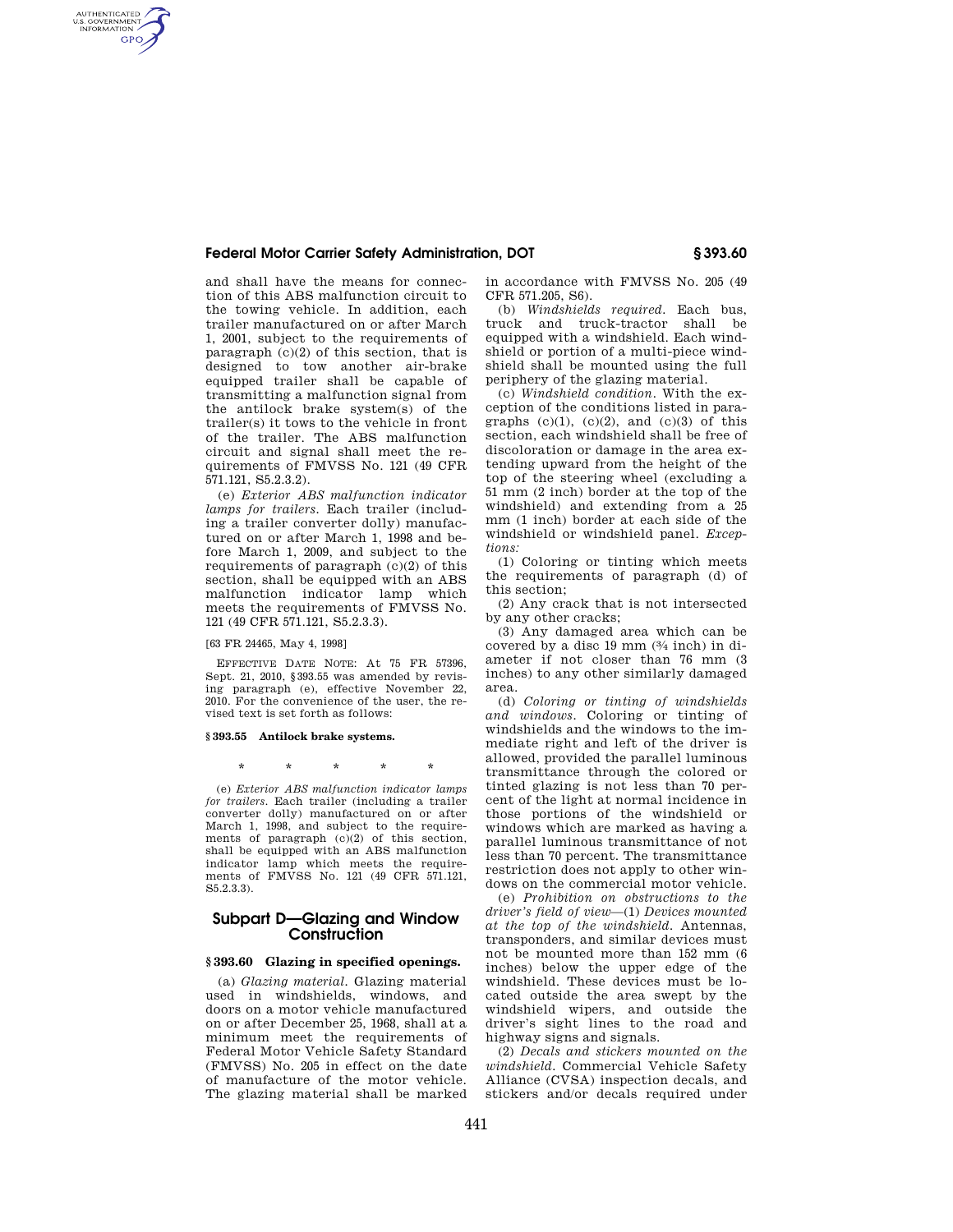## **Federal Motor Carrier Safety Administration, DOT § 393.60**

and shall have the means for connection of this ABS malfunction circuit to the towing vehicle. In addition, each trailer manufactured on or after March 1, 2001, subject to the requirements of paragraph (c)(2) of this section, that is designed to tow another air-brake equipped trailer shall be capable of transmitting a malfunction signal from the antilock brake system(s) of the trailer(s) it tows to the vehicle in front of the trailer. The ABS malfunction circuit and signal shall meet the requirements of FMVSS No. 121 (49 CFR 571.121, S5.2.3.2).

(e) *Exterior ABS malfunction indicator lamps for trailers.* Each trailer (including a trailer converter dolly) manufactured on or after March 1, 1998 and before March 1, 2009, and subject to the requirements of paragraph (c)(2) of this section, shall be equipped with an ABS malfunction indicator lamp which meets the requirements of FMVSS No. 121 (49 CFR 571.121, S5.2.3.3).

[63 FR 24465, May 4, 1998]

AUTHENTICATED<br>U.S. GOVERNMENT<br>INFORMATION GPO

> EFFECTIVE DATE NOTE: At 75 FR 57396, Sept. 21, 2010, §393.55 was amended by revising paragraph (e), effective November 22, 2010. For the convenience of the user, the revised text is set forth as follows:

#### **§ 393.55 Antilock brake systems.**

\* \* \* \* \*

(e) *Exterior ABS malfunction indicator lamps for trailers.* Each trailer (including a trailer converter dolly) manufactured on or after March 1, 1998, and subject to the requirements of paragraph (c)(2) of this section, shall be equipped with an ABS malfunction indicator lamp which meets the requirements of FMVSS No. 121 (49 CFR 571.121, S5.2.3.3).

## **Subpart D—Glazing and Window Construction**

#### **§ 393.60 Glazing in specified openings.**

(a) *Glazing material.* Glazing material used in windshields, windows, and doors on a motor vehicle manufactured on or after December 25, 1968, shall at a minimum meet the requirements of Federal Motor Vehicle Safety Standard (FMVSS) No. 205 in effect on the date of manufacture of the motor vehicle. The glazing material shall be marked

in accordance with FMVSS No. 205 (49 CFR 571.205, S6).

(b) *Windshields required.* Each bus, truck and truck-tractor shall be equipped with a windshield. Each windshield or portion of a multi-piece windshield shall be mounted using the full periphery of the glazing material.

(c) *Windshield condition.* With the exception of the conditions listed in paragraphs  $(c)(1)$ ,  $(c)(2)$ , and  $(c)(3)$  of this section, each windshield shall be free of discoloration or damage in the area extending upward from the height of the top of the steering wheel (excluding a 51 mm (2 inch) border at the top of the windshield) and extending from a 25 mm (1 inch) border at each side of the windshield or windshield panel. *Exceptions:* 

(1) Coloring or tinting which meets the requirements of paragraph (d) of this section;

(2) Any crack that is not intersected by any other cracks;

(3) Any damaged area which can be covered by a disc 19 mm (3⁄4 inch) in diameter if not closer than 76 mm (3 inches) to any other similarly damaged area.

(d) *Coloring or tinting of windshields and windows.* Coloring or tinting of windshields and the windows to the immediate right and left of the driver is allowed, provided the parallel luminous transmittance through the colored or tinted glazing is not less than 70 percent of the light at normal incidence in those portions of the windshield or windows which are marked as having a parallel luminous transmittance of not less than 70 percent. The transmittance restriction does not apply to other windows on the commercial motor vehicle.

(e) *Prohibition on obstructions to the driver's field of view*—(1) *Devices mounted at the top of the windshield.* Antennas, transponders, and similar devices must not be mounted more than 152 mm (6 inches) below the upper edge of the windshield. These devices must be located outside the area swept by the windshield wipers, and outside the driver's sight lines to the road and highway signs and signals.

(2) *Decals and stickers mounted on the windshield.* Commercial Vehicle Safety Alliance (CVSA) inspection decals, and stickers and/or decals required under